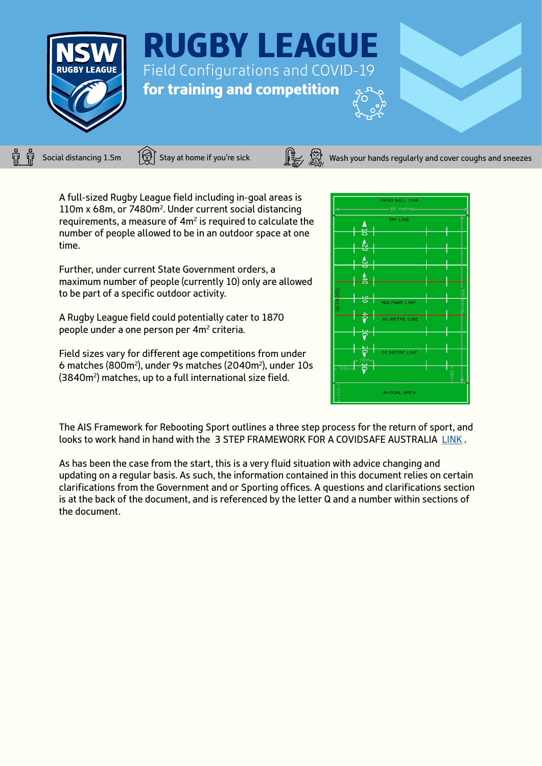



Social distancing 1.5m  $\Xi$  Stay at home if you're sick  $\Xi$   $\Xi$   $\Xi$  Wash your hands regularly and cover coughs and sneezes

A full-sized Rugby League field including in-goal areas is 110m x 68m, or 7480m2. Under current social distancing requirements, a measure of 4m<sup>2</sup> is required to calculate the number of people allowed to be in an outdoor space at one time.

Further, under current State Government orders, a maximum number of people (currently 10) only are allowed to be part of a specific outdoor activity.

A Rugby League field could potentially cater to 1870 people under a one person per 4m2 criteria.

Field sizes vary for different age competitions from under 6 matches (800m2), under 9s matches (2040m2), under 10s (3840m2) matches, up to a full international size field.



The AIS Framework for Rebooting Sport outlines a three step process for the return of sport, and looks to work hand in hand with the 3 STEP FRAMEWORK FOR A COVIDSAFE AUSTRALIA [LINK](https://ais.gov.au/__data/assets/pdf_file/0008/730376/35845_AIS-Framework-for-rebooting-sport_FA.pdf) .

As has been the case from the start, this is a very fluid situation with advice changing and updating on a regular basis. As such, the information contained in this document relies on certain clarifications from the Government and or Sporting offices. A questions and clarifications section is at the back of the document, and is referenced by the letter Q and a number within sections of the document.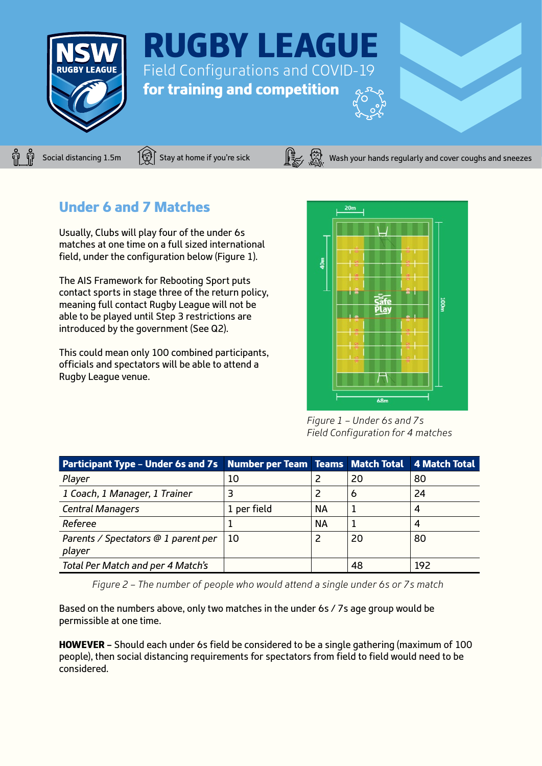



Social distancing 1.5m  $\left[\mathbb{S}\right]$  Stay at home if you're sick Wash your hands regularly and cover coughs and sneezes

## Under 6 and 7 Matches

Usually, Clubs will play four of the under 6s matches at one time on a full sized international field, under the configuration below (Figure 1).

The AIS Framework for Rebooting Sport puts contact sports in stage three of the return policy, meaning full contact Rugby League will not be able to be played until Step 3 restrictions are introduced by the government (See Q2).

This could mean only 100 combined participants, officials and spectators will be able to attend a Rugby League venue.



*Figure 1 – Under 6s and 7s Field Configuration for 4 matches*

| Participant Type - Under 6s and 7s Number per Team Teams Match Total 4 Match Total |             |           |    |     |
|------------------------------------------------------------------------------------|-------------|-----------|----|-----|
| Player                                                                             | 10          |           | 20 | 80  |
| 1 Coach, 1 Manager, 1 Trainer                                                      | 3           |           | 6  | 24  |
| <b>Central Managers</b>                                                            | 1 per field | <b>NA</b> |    | 4   |
| Referee                                                                            |             | <b>NA</b> |    | 4   |
| Parents / Spectators @ 1 parent per<br>player                                      | - 10        | 2         | 20 | 80  |
| Total Per Match and per 4 Match's                                                  |             |           | 48 | 192 |

*Figure 2 – The number of people who would attend a single under 6s or 7s match*

Based on the numbers above, only two matches in the under 6s / 7s age group would be permissible at one time.

HOWEVER – Should each under 6s field be considered to be a single gathering (maximum of 100 people), then social distancing requirements for spectators from field to field would need to be considered.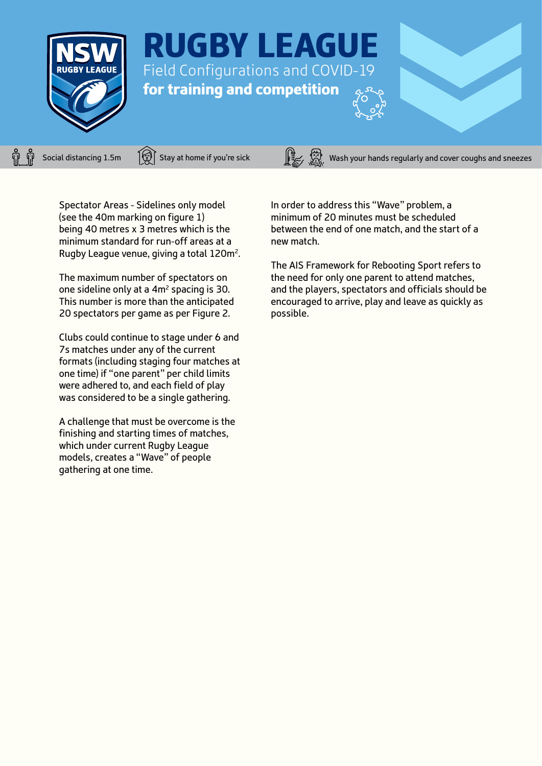



Social distancing 1.5m  $\Xi$  Stay at home if you're sick  $\Xi$   $\Xi$   $\Xi$  Wash your hands regularly and cover coughs and sneezes

Spectator Areas - Sidelines only model (see the 40m marking on figure 1) being 40 metres x 3 metres which is the minimum standard for run-off areas at a Rugby League venue, giving a total 120m2.

The maximum number of spectators on one sideline only at a 4m2 spacing is 30. This number is more than the anticipated 20 spectators per game as per Figure 2.

Clubs could continue to stage under 6 and 7s matches under any of the current formats (including staging four matches at one time) if "one parent" per child limits were adhered to, and each field of play was considered to be a single gathering.

A challenge that must be overcome is the finishing and starting times of matches, which under current Rugby League models, creates a "Wave" of people gathering at one time.

In order to address this "Wave" problem, a minimum of 20 minutes must be scheduled between the end of one match, and the start of a new match.

The AIS Framework for Rebooting Sport refers to the need for only one parent to attend matches, and the players, spectators and officials should be encouraged to arrive, play and leave as quickly as possible.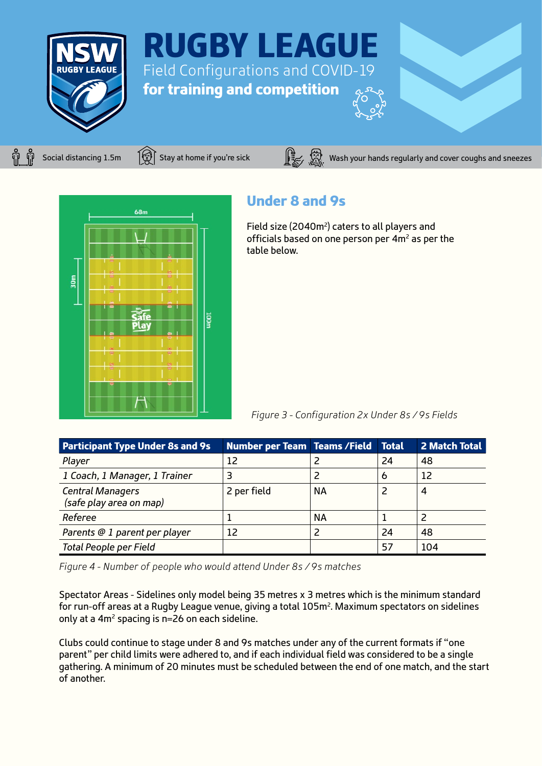

Social distancing 1.5m  $\widehat{\mathbb{G}}$  Stay at home if you're sick Wash your hands regularly and cover coughs and sneezes



# Under 8 and 9s

Field size (2040m<sup>2</sup>) caters to all players and officials based on one person per  $4m^2$  as per the table below.

*Figure 3 - Configuration 2x Under 8s / 9s Fields*

| <b>Participant Type Under 8s and 9s</b>            | <b>Number per Team Teams / Field</b> |           | <b>Total</b> | 2 Match Total |
|----------------------------------------------------|--------------------------------------|-----------|--------------|---------------|
| Player                                             | 12                                   |           | 24           | 48            |
| 1 Coach, 1 Manager, 1 Trainer                      |                                      |           | Ô            | 12            |
| <b>Central Managers</b><br>(safe play area on map) | 2 per field                          | <b>NA</b> |              | 4             |
| Referee                                            |                                      | <b>NA</b> |              |               |
| Parents @ 1 parent per player                      | 12                                   |           | 24           | 48            |
| Total People per Field                             |                                      |           | 57           | 104           |

*Figure 4 - Number of people who would attend Under 8s / 9s matches*

Spectator Areas - Sidelines only model being 35 metres x 3 metres which is the minimum standard for run-off areas at a Rugby League venue, giving a total 105m2. Maximum spectators on sidelines only at a  $4m^2$  spacing is n=26 on each sideline.

Clubs could continue to stage under 8 and 9s matches under any of the current formats if "one parent" per child limits were adhered to, and if each individual field was considered to be a single gathering. A minimum of 20 minutes must be scheduled between the end of one match, and the start of another.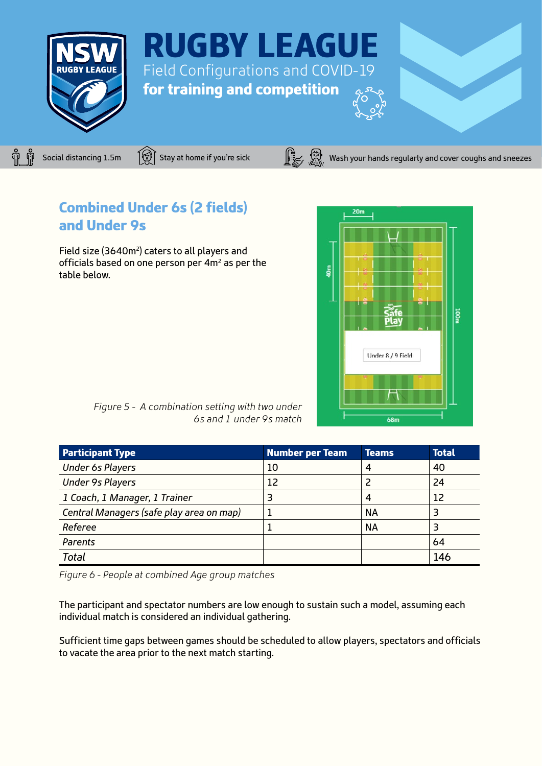



Social distancing 1.5m  $\widehat{S}$  Stay at home if you're sick  $\widehat{S}$   $\widehat{S}$  Wash your hands regularly and cover coughs and sneezes

# Combined Under 6s (2 fields) and Under 9s

Field size (3640m<sup>2</sup>) caters to all players and officials based on one person per  $4m^2$  as per the table below.



*Figure 5 - A combination setting with two under 6s and 1 under 9s match*

| <b>Participant Type</b>                  | Number per Team | Teams     | <b>Total</b> |
|------------------------------------------|-----------------|-----------|--------------|
| <b>Under 6s Players</b>                  | 10              |           | 40           |
| <b>Under 9s Players</b>                  | 12              |           | 24           |
| 1 Coach, 1 Manager, 1 Trainer            |                 |           | 12           |
| Central Managers (safe play area on map) |                 | ΝA        |              |
| Referee                                  |                 | <b>NA</b> |              |
| Parents                                  |                 |           | 64           |
| <b>Total</b>                             |                 |           | 146          |

*Figure 6 - People at combined Age group matches*

The participant and spectator numbers are low enough to sustain such a model, assuming each individual match is considered an individual gathering.

Sufficient time gaps between games should be scheduled to allow players, spectators and officials to vacate the area prior to the next match starting.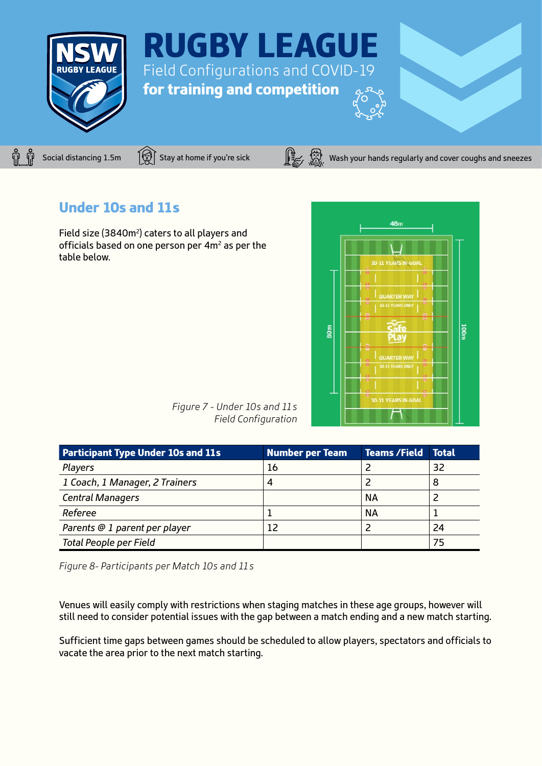



Social distancing 1.5m  $\widehat{S}$  Stay at home if you're sick  $\widehat{S}$   $\widehat{S}$  Wash your hands regularly and cover coughs and sneezes

## Under 10s and 11s

Field size (3840m<sup>2</sup>) caters to all players and officials based on one person per 4m<sup>2</sup> as per the table below.



*Figure 7 - Under 10s and 11s Field Configuration*

| <b>Participant Type Under 10s and 11s</b> | <b>Number per Team</b> | <b>Teams /Field</b> | <b>Total</b> |
|-------------------------------------------|------------------------|---------------------|--------------|
| Players                                   | 16                     |                     | 32           |
| 1 Coach, 1 Manager, 2 Trainers            | 4                      |                     |              |
| <b>Central Managers</b>                   |                        | ΝA                  |              |
| Referee                                   |                        | ΝA                  |              |
| Parents @ 1 parent per player             | 12                     |                     | 24           |
| <b>Total People per Field</b>             |                        |                     | 75           |

*Figure 8- Participants per Match 10s and 11s*

Venues will easily comply with restrictions when staging matches in these age groups, however will still need to consider potential issues with the gap between a match ending and a new match starting.

Sufficient time gaps between games should be scheduled to allow players, spectators and officials to vacate the area prior to the next match starting.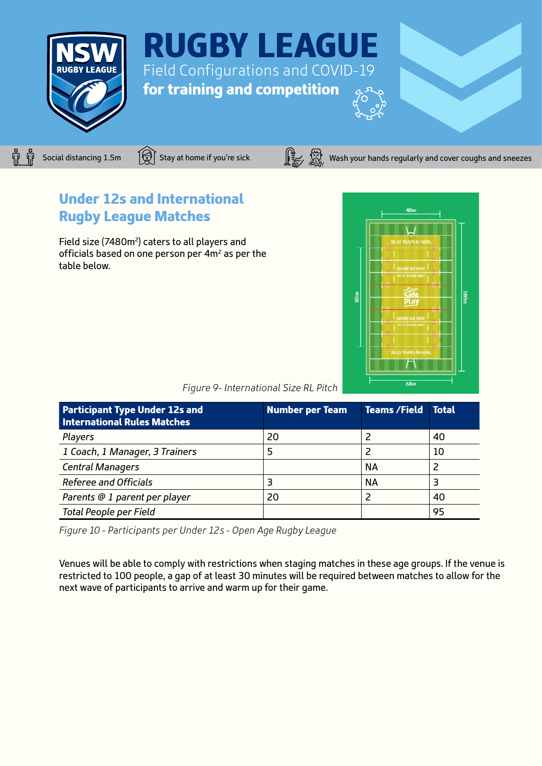



Under 12s and International

Field size (7480m<sup>2</sup>) caters to all players and officials based on one person per 4m2 as per the

Rugby League Matches

### Social distancing 1.5m  $\widehat{S}$  Stay at home if you're sick  $\widehat{S}$   $\widehat{S}$  Wash your hands regularly and cover coughs and sneezes

# $\overline{68n}$

| Figure 9- International Size RL Pitch |  |  |
|---------------------------------------|--|--|
|                                       |  |  |

| <b>Participant Type Under 12s and</b><br><b>International Rules Matches</b> | <b>Number per Team</b> | <b>Teams /Field</b> | <b>Total</b> |
|-----------------------------------------------------------------------------|------------------------|---------------------|--------------|
| Players                                                                     | 20                     |                     | 40           |
| 1 Coach, 1 Manager, 3 Trainers                                              |                        |                     | 10           |
| <b>Central Managers</b>                                                     |                        | <b>NA</b>           |              |
| <b>Referee and Officials</b>                                                | 3                      | <b>NA</b>           |              |
| Parents @ 1 parent per player                                               | 20                     | 2                   | 40           |
| <b>Total People per Field</b>                                               |                        |                     | 95           |

*Figure 10 - Participants per Under 12s - Open Age Rugby League*

Venues will be able to comply with restrictions when staging matches in these age groups. If the venue is restricted to 100 people, a gap of at least 30 minutes will be required between matches to allow for the next wave of participants to arrive and warm up for their game.

table below.